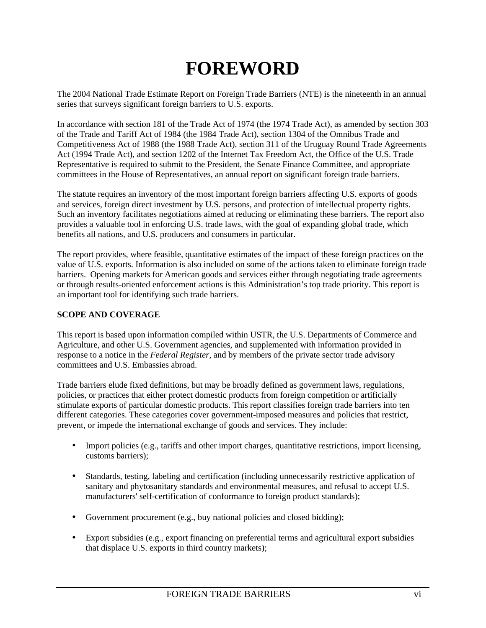## **FOREWORD**

The 2004 National Trade Estimate Report on Foreign Trade Barriers (NTE) is the nineteenth in an annual series that surveys significant foreign barriers to U.S. exports.

In accordance with section 181 of the Trade Act of 1974 (the 1974 Trade Act), as amended by section 303 of the Trade and Tariff Act of 1984 (the 1984 Trade Act), section 1304 of the Omnibus Trade and Competitiveness Act of 1988 (the 1988 Trade Act), section 311 of the Uruguay Round Trade Agreements Act (1994 Trade Act), and section 1202 of the Internet Tax Freedom Act, the Office of the U.S. Trade Representative is required to submit to the President, the Senate Finance Committee, and appropriate committees in the House of Representatives, an annual report on significant foreign trade barriers.

The statute requires an inventory of the most important foreign barriers affecting U.S. exports of goods and services, foreign direct investment by U.S. persons, and protection of intellectual property rights. Such an inventory facilitates negotiations aimed at reducing or eliminating these barriers. The report also provides a valuable tool in enforcing U.S. trade laws, with the goal of expanding global trade, which benefits all nations, and U.S. producers and consumers in particular.

The report provides, where feasible, quantitative estimates of the impact of these foreign practices on the value of U.S. exports. Information is also included on some of the actions taken to eliminate foreign trade barriers. Opening markets for American goods and services either through negotiating trade agreements or through results-oriented enforcement actions is this Administration's top trade priority. This report is an important tool for identifying such trade barriers.

## **SCOPE AND COVERAGE**

This report is based upon information compiled within USTR, the U.S. Departments of Commerce and Agriculture, and other U.S. Government agencies, and supplemented with information provided in response to a notice in the *Federal Register,* and by members of the private sector trade advisory committees and U.S. Embassies abroad.

Trade barriers elude fixed definitions, but may be broadly defined as government laws, regulations, policies, or practices that either protect domestic products from foreign competition or artificially stimulate exports of particular domestic products. This report classifies foreign trade barriers into ten different categories. These categories cover government-imposed measures and policies that restrict, prevent, or impede the international exchange of goods and services. They include:

- Import policies (e.g., tariffs and other import charges, quantitative restrictions, import licensing, customs barriers);
- Standards, testing, labeling and certification (including unnecessarily restrictive application of sanitary and phytosanitary standards and environmental measures, and refusal to accept U.S. manufacturers' self-certification of conformance to foreign product standards);
- Government procurement (e.g., buy national policies and closed bidding);
- Export subsidies (e.g., export financing on preferential terms and agricultural export subsidies that displace U.S. exports in third country markets);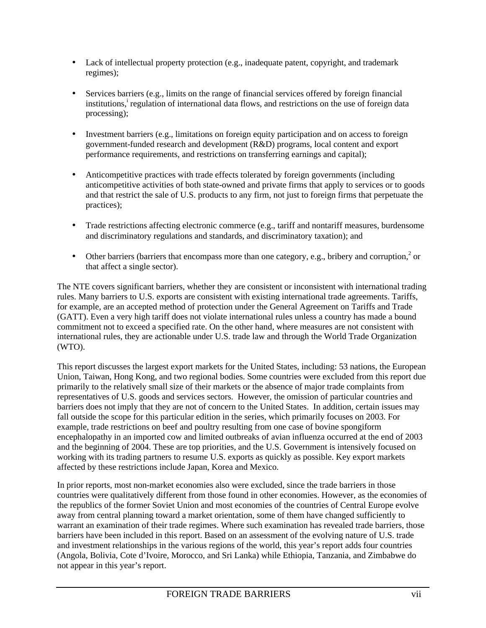- Lack of intellectual property protection (e.g., inadequate patent, copyright, and trademark regimes);
- Services barriers (e.g., limits on the range of financial services offered by foreign financial institutions,<sup>i</sup> regulation of international data flows, and restrictions on the use of foreign data processing);
- Investment barriers (e.g., limitations on foreign equity participation and on access to foreign government-funded research and development (R&D) programs, local content and export performance requirements, and restrictions on transferring earnings and capital);
- Anticompetitive practices with trade effects tolerated by foreign governments (including anticompetitive activities of both state-owned and private firms that apply to services or to goods and that restrict the sale of U.S. products to any firm, not just to foreign firms that perpetuate the practices);
- Trade restrictions affecting electronic commerce (e.g., tariff and nontariff measures, burdensome and discriminatory regulations and standards, and discriminatory taxation); and
- Other barriers (barriers that encompass more than one category, e.g., bribery and corruption,<sup>2</sup> or that affect a single sector).

The NTE covers significant barriers, whether they are consistent or inconsistent with international trading rules. Many barriers to U.S. exports are consistent with existing international trade agreements. Tariffs, for example, are an accepted method of protection under the General Agreement on Tariffs and Trade (GATT). Even a very high tariff does not violate international rules unless a country has made a bound commitment not to exceed a specified rate. On the other hand, where measures are not consistent with international rules, they are actionable under U.S. trade law and through the World Trade Organization (WTO).

This report discusses the largest export markets for the United States, including: 53 nations, the European Union, Taiwan, Hong Kong, and two regional bodies. Some countries were excluded from this report due primarily to the relatively small size of their markets or the absence of major trade complaints from representatives of U.S. goods and services sectors. However, the omission of particular countries and barriers does not imply that they are not of concern to the United States. In addition, certain issues may fall outside the scope for this particular edition in the series, which primarily focuses on 2003. For example, trade restrictions on beef and poultry resulting from one case of bovine spongiform encephalopathy in an imported cow and limited outbreaks of avian influenza occurred at the end of 2003 and the beginning of 2004. These are top priorities, and the U.S. Government is intensively focused on working with its trading partners to resume U.S. exports as quickly as possible. Key export markets affected by these restrictions include Japan, Korea and Mexico.

In prior reports, most non-market economies also were excluded, since the trade barriers in those countries were qualitatively different from those found in other economies. However, as the economies of the republics of the former Soviet Union and most economies of the countries of Central Europe evolve away from central planning toward a market orientation, some of them have changed sufficiently to warrant an examination of their trade regimes. Where such examination has revealed trade barriers, those barriers have been included in this report. Based on an assessment of the evolving nature of U.S. trade and investment relationships in the various regions of the world, this year's report adds four countries (Angola, Bolivia, Cote d'Ivoire, Morocco, and Sri Lanka) while Ethiopia, Tanzania, and Zimbabwe do not appear in this year's report.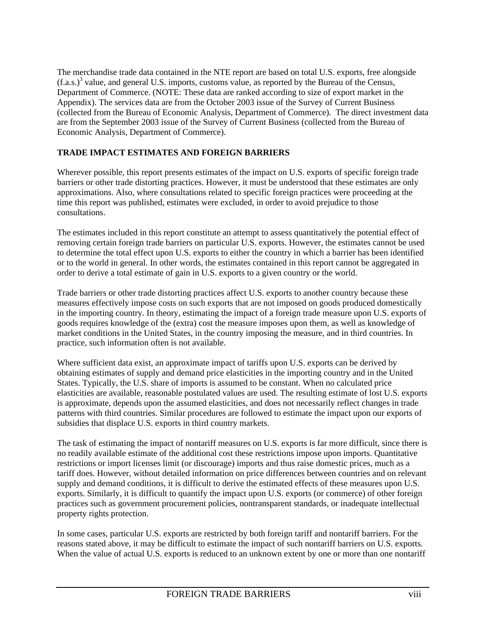The merchandise trade data contained in the NTE report are based on total U.S. exports, free alongside  $(f.a.s.)<sup>3</sup>$  value, and general U.S. imports, customs value, as reported by the Bureau of the Census, Department of Commerce. (NOTE: These data are ranked according to size of export market in the Appendix). The services data are from the October 2003 issue of the Survey of Current Business (collected from the Bureau of Economic Analysis, Department of Commerce). The direct investment data are from the September 2003 issue of the Survey of Current Business (collected from the Bureau of Economic Analysis, Department of Commerce).

## **TRADE IMPACT ESTIMATES AND FOREIGN BARRIERS**

Wherever possible, this report presents estimates of the impact on U.S. exports of specific foreign trade barriers or other trade distorting practices. However, it must be understood that these estimates are only approximations. Also, where consultations related to specific foreign practices were proceeding at the time this report was published, estimates were excluded, in order to avoid prejudice to those consultations.

The estimates included in this report constitute an attempt to assess quantitatively the potential effect of removing certain foreign trade barriers on particular U.S. exports. However, the estimates cannot be used to determine the total effect upon U.S. exports to either the country in which a barrier has been identified or to the world in general. In other words, the estimates contained in this report cannot be aggregated in order to derive a total estimate of gain in U.S. exports to a given country or the world.

Trade barriers or other trade distorting practices affect U.S. exports to another country because these measures effectively impose costs on such exports that are not imposed on goods produced domestically in the importing country. In theory, estimating the impact of a foreign trade measure upon U.S. exports of goods requires knowledge of the (extra) cost the measure imposes upon them, as well as knowledge of market conditions in the United States, in the country imposing the measure, and in third countries. In practice, such information often is not available.

Where sufficient data exist, an approximate impact of tariffs upon U.S. exports can be derived by obtaining estimates of supply and demand price elasticities in the importing country and in the United States. Typically, the U.S. share of imports is assumed to be constant. When no calculated price elasticities are available, reasonable postulated values are used. The resulting estimate of lost U.S. exports is approximate, depends upon the assumed elasticities, and does not necessarily reflect changes in trade patterns with third countries. Similar procedures are followed to estimate the impact upon our exports of subsidies that displace U.S. exports in third country markets.

The task of estimating the impact of nontariff measures on U.S. exports is far more difficult, since there is no readily available estimate of the additional cost these restrictions impose upon imports. Quantitative restrictions or import licenses limit (or discourage) imports and thus raise domestic prices, much as a tariff does. However, without detailed information on price differences between countries and on relevant supply and demand conditions, it is difficult to derive the estimated effects of these measures upon U.S. exports. Similarly, it is difficult to quantify the impact upon U.S. exports (or commerce) of other foreign practices such as government procurement policies, nontransparent standards, or inadequate intellectual property rights protection.

In some cases, particular U.S. exports are restricted by both foreign tariff and nontariff barriers. For the reasons stated above, it may be difficult to estimate the impact of such nontariff barriers on U.S. exports. When the value of actual U.S. exports is reduced to an unknown extent by one or more than one nontariff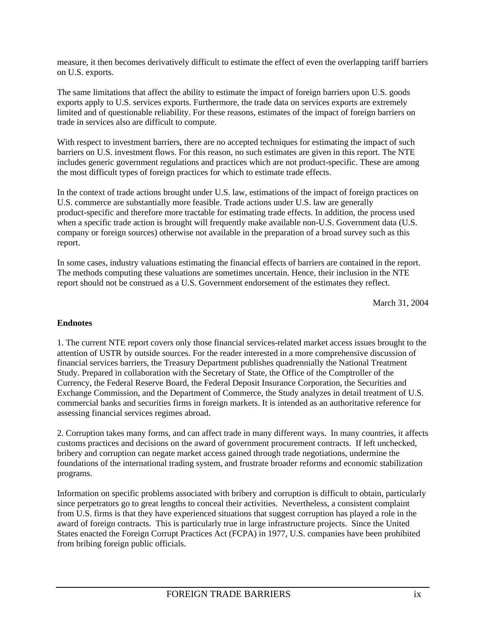measure, it then becomes derivatively difficult to estimate the effect of even the overlapping tariff barriers on U.S. exports.

The same limitations that affect the ability to estimate the impact of foreign barriers upon U.S. goods exports apply to U.S. services exports. Furthermore, the trade data on services exports are extremely limited and of questionable reliability. For these reasons, estimates of the impact of foreign barriers on trade in services also are difficult to compute.

With respect to investment barriers, there are no accepted techniques for estimating the impact of such barriers on U.S. investment flows. For this reason, no such estimates are given in this report. The NTE includes generic government regulations and practices which are not product-specific. These are among the most difficult types of foreign practices for which to estimate trade effects.

In the context of trade actions brought under U.S. law, estimations of the impact of foreign practices on U.S. commerce are substantially more feasible. Trade actions under U.S. law are generally product-specific and therefore more tractable for estimating trade effects. In addition, the process used when a specific trade action is brought will frequently make available non-U.S. Government data (U.S. company or foreign sources) otherwise not available in the preparation of a broad survey such as this report.

In some cases, industry valuations estimating the financial effects of barriers are contained in the report. The methods computing these valuations are sometimes uncertain. Hence, their inclusion in the NTE report should not be construed as a U.S. Government endorsement of the estimates they reflect.

March 31, 2004

## **Endnotes**

1. The current NTE report covers only those financial services-related market access issues brought to the attention of USTR by outside sources. For the reader interested in a more comprehensive discussion of financial services barriers, the Treasury Department publishes quadrennially the National Treatment Study. Prepared in collaboration with the Secretary of State, the Office of the Comptroller of the Currency, the Federal Reserve Board, the Federal Deposit Insurance Corporation, the Securities and Exchange Commission, and the Department of Commerce, the Study analyzes in detail treatment of U.S. commercial banks and securities firms in foreign markets. It is intended as an authoritative reference for assessing financial services regimes abroad.

2. Corruption takes many forms, and can affect trade in many different ways. In many countries, it affects customs practices and decisions on the award of government procurement contracts. If left unchecked, bribery and corruption can negate market access gained through trade negotiations, undermine the foundations of the international trading system, and frustrate broader reforms and economic stabilization programs.

Information on specific problems associated with bribery and corruption is difficult to obtain, particularly since perpetrators go to great lengths to conceal their activities. Nevertheless, a consistent complaint from U.S. firms is that they have experienced situations that suggest corruption has played a role in the award of foreign contracts. This is particularly true in large infrastructure projects. Since the United States enacted the Foreign Corrupt Practices Act (FCPA) in 1977, U.S. companies have been prohibited from bribing foreign public officials.